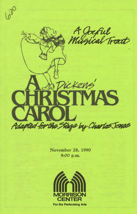

November 28, 1990 8:00 p.m.



For the Performing Arts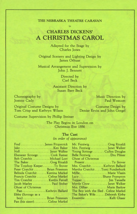#### **THE NEBRASKA THEATRE CARAVAN**

in

# **CHARLES DICKENS' A CHRISTMAS CAROL**

Adapted for the Stage by Charles Jones

Original Scenery and Lighting Design by James Othuse

Musical Arrangement and Supervision by John J. Bennett

> Directed by Carl Beck

Assistant Direction by Susan Baer Beck

Choreography by Joanne Cady

Original Costume Designs by Tom Crisp and Kathryn Wilson Music Direction by Paul Westcott

Costume Design by Denise Ervin and John Gergel

Costume Supervision by Phillip Steiner

The Play Begins in London on Christmas Eve 1886

#### **The Cast**

*(in order of appearance)* 

| Fred  James Fitzpatrick<br>Jake  Ken Baker<br>Nell  Janet Walker<br>Ebenezer ScroogeCork Ramer | Mr. Fezziwig Greg Rinaldi<br>Mrs. Fezziwig  Janet Walker<br>Young Scrooge  Cullen Douglas<br>Belle FezziwigDru Pilmer |
|------------------------------------------------------------------------------------------------|-----------------------------------------------------------------------------------------------------------------------|
| Bob Cratchit Michael Lorr                                                                      | <b>Ghost of Christmas</b>                                                                                             |
| The BakerGreg Rinaldi                                                                          | Present  Ty Stover                                                                                                    |
| The Toyshop KeeperTy Stover                                                                    | Mrs. Cratchit Kathryn Ballard                                                                                         |
| Peter Cratchit  Brian Priesman                                                                 | Martha Cratchit Tomi Funderburk                                                                                       |
| Belinda Cratchit  Katrina Markel                                                               | MillieMarie Vlasin                                                                                                    |
| Francis Cratchit  Celine Markel                                                                | Lucy Shane Frampton                                                                                                   |
| Tim Cratchit  Kaitlin Ferrell                                                                  | Topper Jim Tanselle                                                                                                   |
| Jacob Marley  Paul Stober                                                                      | Myrtle Crow  Janet Walker                                                                                             |
| Ghost of Christmas<br><b>CARD AND RESIDENCE</b>                                                | Mrs. Dilber Marie Barlow                                                                                              |
|                                                                                                | The Boy with the Sled. Celine Markel                                                                                  |
| Ebby (Scrooge as a                                                                             | The Baker's WifeDeborah Kirby                                                                                         |
| boy) Brian Priesman                                                                            |                                                                                                                       |
| Fan (his sister)Celine Markel                                                                  |                                                                                                                       |

| Fred  James Fitzpatrick         | Mr. Fezziwig Greg Rinaldi            |
|---------------------------------|--------------------------------------|
|                                 | Mrs. Fezziwig  Janet Walker          |
|                                 | Young Scrooge  Cullen Douglas        |
| Ebenezer ScroogeCork Ramer      | Belle FezziwigDru Pilmer             |
| Bob Cratchit Michael Lorr       | <b>Ghost of Christmas</b>            |
| The BakerGreg Rinaldi           |                                      |
| The Toyshop KeeperTy Stover     | Mrs. Cratchit Kathryn Ballard        |
| Peter Cratchit Brian Priesman   | Martha Cratchit Tomi Funderburk      |
| Belinda Cratchit Katrina Markel | MillieMarie Vlasin                   |
| Francis Cratchit Celine Markel  | Lucy Shane Frampton                  |
| Tim Cratchit Kaitlin Ferrell    | Topper Jim Tanselle                  |
| Jacob Marley  Paul Stober       | Myrtle Crow  Janet Walker            |
| <b>Ghost of Christmas</b>       | Mrs. Dilber  Marie Barlow            |
|                                 | The Boy with the Sled. Celine Markel |
| Ebby (Scrooge as a              | The Baker's WifeDeborah Kirby        |
| boy) Brian Priesman             |                                      |
|                                 |                                      |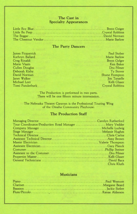#### **The Cast in Specialty Appearances**

## **The Party Dancers**

James Fitzpatrick Kathryn Ballard Greg Rinaldi Marie Vissin Cullen Douglas Deborah Kirby David Norman Janet Walker Michael Lorr Tomi Funderburk

Paul Stober Marie Barlow Brent Geiger Ken Baker Dru Pilmer Ty Stover Shane Frampton Jim Tanselle Kelli Glaser Crystal Robbins

The Production is performed in two parts. There will be one fifteen minute intermission.

The Nebraska Theatre Caravan is the Professional Touring Wing of'the Omaha Community Playhouse.

## **The Production Staff**

| Tour Coordinator/Production Road Manager  Mary Vedder |                                |
|-------------------------------------------------------|--------------------------------|
|                                                       |                                |
|                                                       |                                |
|                                                       |                                |
|                                                       |                                |
|                                                       |                                |
|                                                       |                                |
|                                                       |                                |
|                                                       |                                |
|                                                       |                                |
|                                                       |                                |
|                                                       | <b>Example 2.1 Chris Kluth</b> |

## **Musicians**